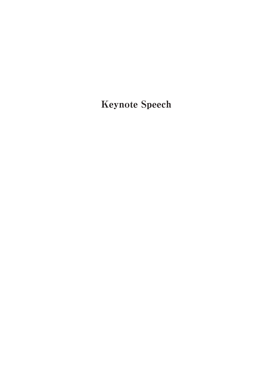Keynote Speech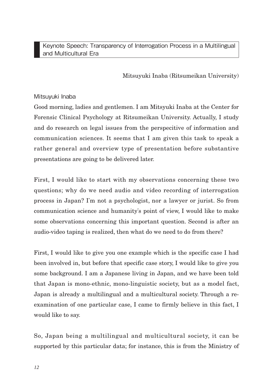Mitsuyuki Inaba (Ritsumeikan University)

## Mitsuyuki Inaba

Good morning, ladies and gentlemen. I am Mitsyuki Inaba at the Center for Forensic Clinical Psychology at Ritsumeikan University. Actually, I study and do research on legal issues from the perspecitive of information and communication sciences. It seems that I am given this task to speak a rather general and overview type of presentation before substantive presentations are going to be delivered later.

First, I would like to start with my observations concerning these two questions; why do we need audio and video recording of interrogation process in Japan? I'm not a psychologist, nor a lawyer or jurist. So from communication science and humanity's point of view, I would like to make some observations concerning this important question. Second is after an audio-video taping is realized, then what do we need to do from there?

First, I would like to give you one example which is the specific case I had been involved in, but before that specific case story, I would like to give you some background. I am a Japanese living in Japan, and we have been told that Japan is mono-ethnic, mono-linguistic society, but as a model fact, Japan is already a multilingual and a multicultural society. Through a reexamination of one particular case, I came to firmly believe in this fact, I would like to say.

So, Japan being a multilingual and multicultural society, it can be supported by this particular data; for instance, this is from the Ministry of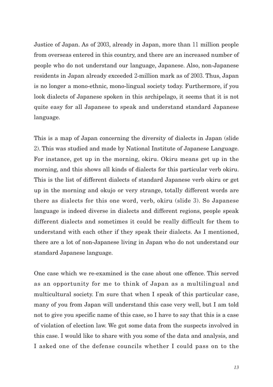Justice of Japan. As of 2003, already in Japan, more than 11 million people from overseas entered in this country, and there are an increased number of people who do not understand our language, Japanese. Also, non-Japanese residents in Japan already exceeded 2-million mark as of 2003. Thus, Japan is no longer a mono-ethnic, mono-lingual society today. Furthermore, if you look dialects of Japanese spoken in this archipelago, it seems that it is not quite easy for all Japanese to speak and understand standard Japanese language.

This is a map of Japan concerning the diversity of dialects in Japan (slide 2). This was studied and made by National Institute of Japanese Language. For instance, get up in the morning, okiru. Okiru means get up in the morning, and this shows all kinds of dialects for this particular verb okiru. This is the list of different dialects of standard Japanese verb okiru or get up in the morning and okujo or very strange, totally different words are there as dialects for this one word, verb, okiru (slide 3). So Japanese language is indeed diverse in dialects and different regions, people speak different dialects and sometimes it could be really difficult for them to understand with each other if they speak their dialects. As I mentioned, there are a lot of non-Japanese living in Japan who do not understand our standard Japanese language.

One case which we re-examined is the case about one offence. This served as an opportunity for me to think of Japan as a multilingual and multicultural society. I'm sure that when I speak of this particular case, many of you from Japan will understand this case very well, but I am told not to give you specific name of this case, so I have to say that this is a case of violation of election law. We got some data from the suspects involved in this case. I would like to share with you some of the data and analysis, and I asked one of the defense councils whether I could pass on to the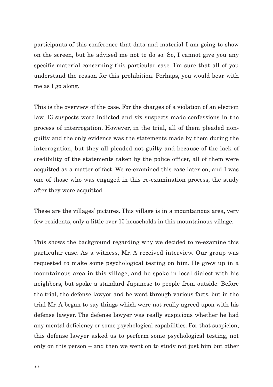participants of this conference that data and material I am going to show on the screen, but he advised me not to do so. So, I cannot give you any specific material concerning this particular case. I'm sure that all of you understand the reason for this prohibition. Perhaps, you would bear with me as I go along.

This is the overview of the case. For the charges of a violation of an election law, 13 suspects were indicted and six suspects made confessions in the process of interrogation. However, in the trial, all of them pleaded nonguilty and the only evidence was the statements made by them during the interrogation, but they all pleaded not guilty and because of the lack of credibility of the statements taken by the police officer, all of them were acquitted as a matter of fact. We re-examined this case later on, and I was one of those who was engaged in this re-examination process, the study after they were acquitted.

These are the villages' pictures. This village is in a mountainous area, very few residents, only a little over 10 households in this mountainous village.

This shows the background regarding why we decided to re-examine this particular case. As a witness, Mr. A received interview. Our group was requested to make some psychological testing on him. He grew up in a mountainous area in this village, and he spoke in local dialect with his neighbors, but spoke a standard Japanese to people from outside. Before the trial, the defense lawyer and he went through various facts, but in the trial Mr. A began to say things which were not really agreed upon with his defense lawyer. The defense lawyer was really suspicious whether he had any mental deficiency or some psychological capabilities. For that suspicion, this defense lawyer asked us to perform some psychological testing, not only on this person – and then we went on to study not just him but other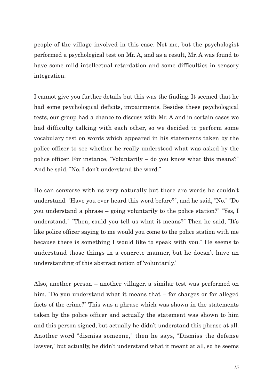people of the village involved in this case. Not me, but the psychologist performed a psychological test on Mr. A, and as a result, Mr. A was found to have some mild intellectual retardation and some difficulties in sensory integration.

I cannot give you further details but this was the finding. It seemed that he had some psychological deficits, impairments. Besides these psychological tests, our group had a chance to discuss with Mr. A and in certain cases we had difficulty talking with each other, so we decided to perform some vocabulary test on words which appeared in his statements taken by the police officer to see whether he really understood what was asked by the police officer. For instance, "Voluntarily – do you know what this means?" And he said, "No, I don't understand the word."

He can converse with us very naturally but there are words he couldn't understand. "Have you ever heard this word before?", and he said, "No." "Do you understand a phrase – going voluntarily to the police station?" "Yes, I understand." "Then, could you tell us what it means?" Then he said, "It's like police officer saying to me would you come to the police station with me because there is something I would like to speak with you." He seems to understand those things in a concrete manner, but he doesn't have an understanding of this abstract notion of ʻvoluntarily.'

Also, another person – another villager, a similar test was performed on him. "Do you understand what it means that – for charges or for alleged facts of the crime?" This was a phrase which was shown in the statements taken by the police officer and actually the statement was shown to him and this person signed, but actually he didn't understand this phrase at all. Another word "dismiss someone," then he says, "Dismiss the defense lawyer," but actually, he didn't understand what it meant at all, so he seems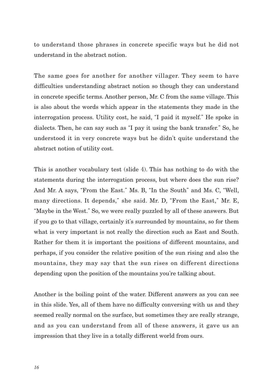to understand those phrases in concrete specific ways but he did not understand in the abstract notion.

The same goes for another for another villager. They seem to have difficulties understanding abstract notion so though they can understand in concrete specific terms. Another person, Mr. C from the same village. This is also about the words which appear in the statements they made in the interrogation process. Utility cost, he said, "I paid it myself." He spoke in dialects. Then, he can say such as "I pay it using the bank transfer." So, he understood it in very concrete ways but he didn't quite understand the abstract notion of utility cost.

This is another vocabulary test (slide 4). This has nothing to do with the statements during the interrogation process, but where does the sun rise? And Mr. A says, "From the East." Ms. B, "In the South" and Ms. C, "Well, many directions. It depends," she said. Mr. D, "From the East," Mr. E, "Maybe in the West." So, we were really puzzled by all of these answers. But if you go to that village, certainly it's surrounded by mountains, so for them what is very important is not really the direction such as East and South. Rather for them it is important the positions of different mountains, and perhaps, if you consider the relative position of the sun rising and also the mountains, they may say that the sun rises on different directions depending upon the position of the mountains you're talking about.

Another is the boiling point of the water. Different answers as you can see in this slide. Yes, all of them have no difficulty conversing with us and they seemed really normal on the surface, but sometimes they are really strange, and as you can understand from all of these answers, it gave us an impression that they live in a totally different world from ours.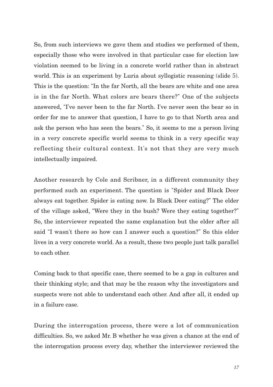So, from such interviews we gave them and studies we performed of them, especially those who were involved in that particular case for election law violation seemed to be living in a concrete world rather than in abstract world. This is an experiment by Luria about syllogistic reasoning (slide 5). This is the question: "In the far North, all the bears are white and one area is in the far North. What colors are bears there?" One of the subjects answered, "I've never been to the far North. I've never seen the bear so in order for me to answer that question, I have to go to that North area and ask the person who has seen the bears." So, it seems to me a person living in a very concrete specific world seems to think in a very specific way reflecting their cultural context. It's not that they are very much intellectually impaired.

Another research by Cole and Scribner, in a different community they performed such an experiment. The question is "Spider and Black Deer always eat together. Spider is eating now. Is Black Deer eating?" The elder of the village asked, "Were they in the bush? Were they eating together?" So, the interviewer repeated the same explanation but the elder after all said "I wasn't there so how can I answer such a question?" So this elder lives in a very concrete world. As a result, these two people just talk parallel to each other.

Coming back to that specific case, there seemed to be a gap in cultures and their thinking style; and that may be the reason why the investigators and suspects were not able to understand each other. And after all, it ended up in a failure case.

During the interrogation process, there were a lot of communication difficulties. So, we asked Mr. B whether he was given a chance at the end of the interrogation process every day, whether the interviewer reviewed the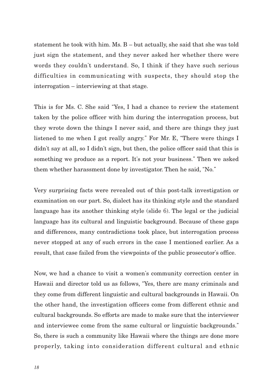statement he took with him. Ms. B – but actually, she said that she was told just sign the statement, and they never asked her whether there were words they couldn't understand. So, I think if they have such serious difficulties in communicating with suspects, they should stop the interrogation – interviewing at that stage.

This is for Ms. C. She said "Yes, I had a chance to review the statement taken by the police officer with him during the interrogation process, but they wrote down the things I never said, and there are things they just listened to me when I got really angry." For Mr. E, "There were things I didn't say at all, so I didn't sign, but then, the police officer said that this is something we produce as a report. It's not your business." Then we asked them whether harassment done by investigator. Then he said, "No."

Very surprising facts were revealed out of this post-talk investigation or examination on our part. So, dialect has its thinking style and the standard language has its another thinking style (slide 6). The legal or the judicial language has its cultural and linguistic background. Because of these gaps and differences, many contradictions took place, but interrogation process never stopped at any of such errors in the case I mentioned earlier. As a result, that case failed from the viewpoints of the public prosecutor's office.

Now, we had a chance to visit a women's community correction center in Hawaii and director told us as follows, "Yes, there are many criminals and they come from different linguistic and cultural backgrounds in Hawaii. On the other hand, the investigation officers come from different ethnic and cultural backgrounds. So efforts are made to make sure that the interviewer and interviewee come from the same cultural or linguistic backgrounds." So, there is such a community like Hawaii where the things are done more properly, taking into consideration different cultural and ethnic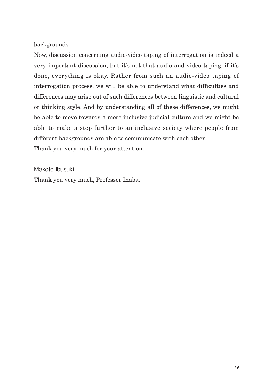backgrounds.

Now, discussion concerning audio-video taping of interrogation is indeed a very important discussion, but it's not that audio and video taping, if it's done, everything is okay. Rather from such an audio-video taping of interrogation process, we will be able to understand what difficulties and differences may arise out of such differences between linguistic and cultural or thinking style. And by understanding all of these differences, we might be able to move towards a more inclusive judicial culture and we might be able to make a step further to an inclusive society where people from different backgrounds are able to communicate with each other. Thank you very much for your attention.

Makoto Ibusuki

Thank you very much, Professor Inaba.